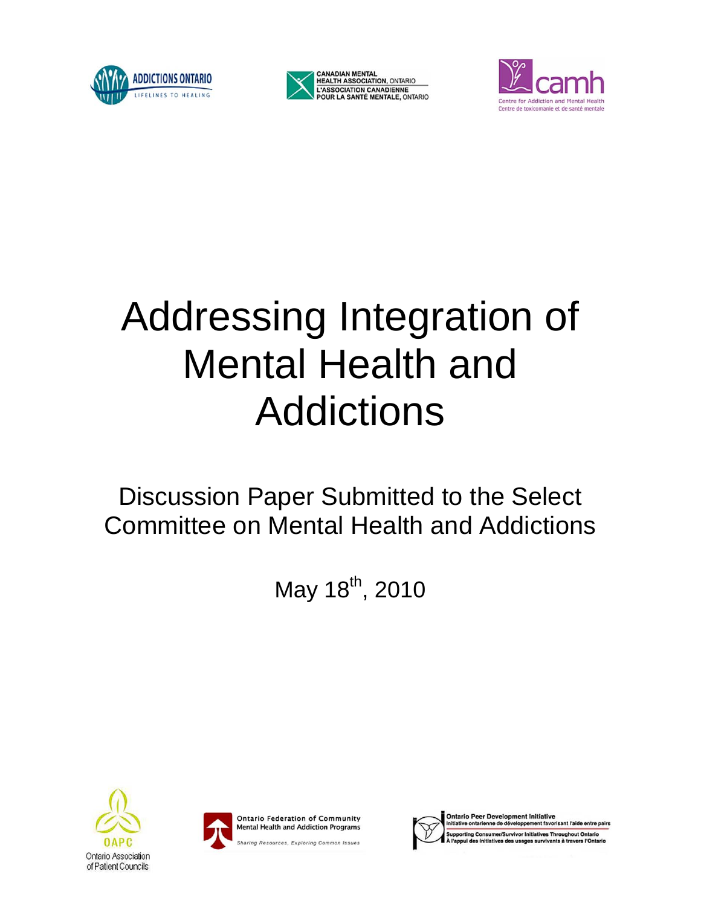





# Addressing Integration of Mental Health and Addictions

# Discussion Paper Submitted to the Select Committee on Mental Health and Addictions

May 18<sup>th</sup>, 2010







**Ontario Peer Development Initiative** ent favorisant l'aide entre pairs ntarienne de dével orting Consumer/Survivor Initiatives Throughout Ontario **OAPC** Sharing Resources, Exploring Common Issues<br>Onlario Association **of Mental Health and Addictions page 1966**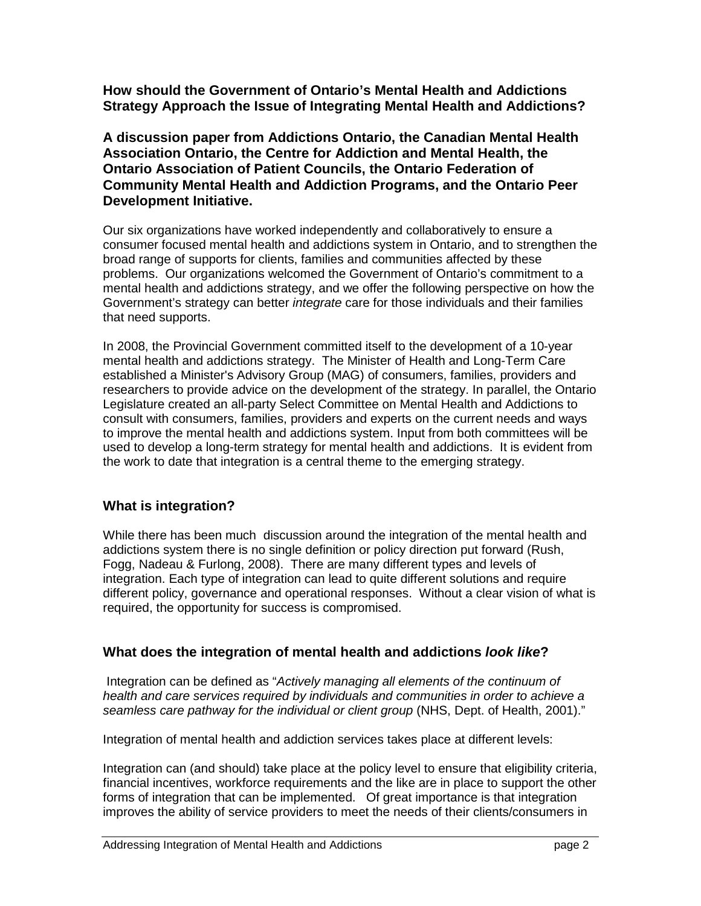**How should the Government of Ontario's Mental Health and Addictions Strategy Approach the Issue of Integrating Mental Health and Addictions?**

**A discussion paper from Addictions Ontario, the Canadian Mental Health Association Ontario, the Centre for Addiction and Mental Health, the Ontario Association of Patient Councils, the Ontario Federation of Community Mental Health and Addiction Programs, and the Ontario Peer Development Initiative.**

Our six organizations have worked independently and collaboratively to ensure a consumer focused mental health and addictions system in Ontario, and to strengthen the broad range of supports for clients, families and communities affected by these problems. Our organizations welcomed the Government of Ontario's commitment to a mental health and addictions strategy, and we offer the following perspective on how the Government's strategy can better *integrate* care for those individuals and their families that need supports.

In 2008, the Provincial Government committed itself to the development of a 10-year mental health and addictions strategy. The Minister of Health and Long-Term Care established a Minister's Advisory Group (MAG) of consumers, families, providers and researchers to provide advice on the development of the strategy. In parallel, the Ontario Legislature created an all-party Select Committee on Mental Health and Addictions to consult with consumers, families, providers and experts on the current needs and ways to improve the mental health and addictions system. Input from both committees will be used to develop a long-term strategy for mental health and addictions. It is evident from the work to date that integration is a central theme to the emerging strategy.

# **What is integration?**

While there has been much discussion around the integration of the mental health and addictions system there is no single definition or policy direction put forward (Rush, Fogg, Nadeau & Furlong, 2008). There are many different types and levels of integration. Each type of integration can lead to quite different solutions and require different policy, governance and operational responses. Without a clear vision of what is required, the opportunity for success is compromised.

# **What does the integration of mental health and addictions** *look like***?**

Integration can be defined as "*Actively managing all elements of the continuum of health and care services required by individuals and communities in order to achieve a seamless care pathway for the individual or client group* (NHS, Dept. of Health, 2001)."

Integration of mental health and addiction services takes place at different levels:

Integration can (and should) take place at the policy level to ensure that eligibility criteria, financial incentives, workforce requirements and the like are in place to support the other forms of integration that can be implemented. Of great importance is that integration improves the ability of service providers to meet the needs of their clients/consumers in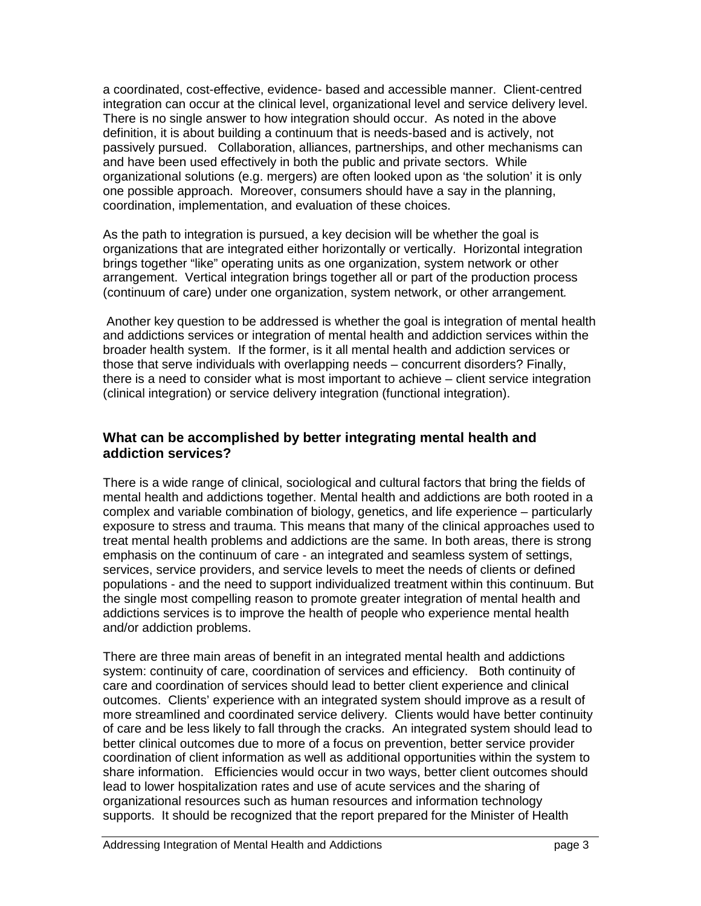a coordinated, cost-effective, evidence- based and accessible manner. Client-centred integration can occur at the clinical level, organizational level and service delivery level. There is no single answer to how integration should occur. As noted in the above definition, it is about building a continuum that is needs-based and is actively, not passively pursued. Collaboration, alliances, partnerships, and other mechanisms can and have been used effectively in both the public and private sectors. While organizational solutions (e.g. mergers) are often looked upon as 'the solution' it is only one possible approach. Moreover, consumers should have a say in the planning, coordination, implementation, and evaluation of these choices.

As the path to integration is pursued, a key decision will be whether the goal is organizations that are integrated either horizontally or vertically. Horizontal integration brings together "like" operating units as one organization, system network or other arrangement. Vertical integration brings together all or part of the production process (continuum of care) under one organization, system network, or other arrangement*.* 

Another key question to be addressed is whether the goal is integration of mental health and addictions services or integration of mental health and addiction services within the broader health system. If the former, is it all mental health and addiction services or those that serve individuals with overlapping needs – concurrent disorders? Finally, there is a need to consider what is most important to achieve – client service integration (clinical integration) or service delivery integration (functional integration).

#### **What can be accomplished by better integrating mental health and addiction services?**

There is a wide range of clinical, sociological and cultural factors that bring the fields of mental health and addictions together. Mental health and addictions are both rooted in a complex and variable combination of biology, genetics, and life experience – particularly exposure to stress and trauma. This means that many of the clinical approaches used to treat mental health problems and addictions are the same. In both areas, there is strong emphasis on the continuum of care - an integrated and seamless system of settings, services, service providers, and service levels to meet the needs of clients or defined populations - and the need to support individualized treatment within this continuum. But the single most compelling reason to promote greater integration of mental health and addictions services is to improve the health of people who experience mental health and/or addiction problems.

There are three main areas of benefit in an integrated mental health and addictions system: continuity of care, coordination of services and efficiency. Both continuity of care and coordination of services should lead to better client experience and clinical outcomes. Clients' experience with an integrated system should improve as a result of more streamlined and coordinated service delivery. Clients would have better continuity of care and be less likely to fall through the cracks. An integrated system should lead to better clinical outcomes due to more of a focus on prevention, better service provider coordination of client information as well as additional opportunities within the system to share information. Efficiencies would occur in two ways, better client outcomes should lead to lower hospitalization rates and use of acute services and the sharing of organizational resources such as human resources and information technology supports. It should be recognized that the report prepared for the Minister of Health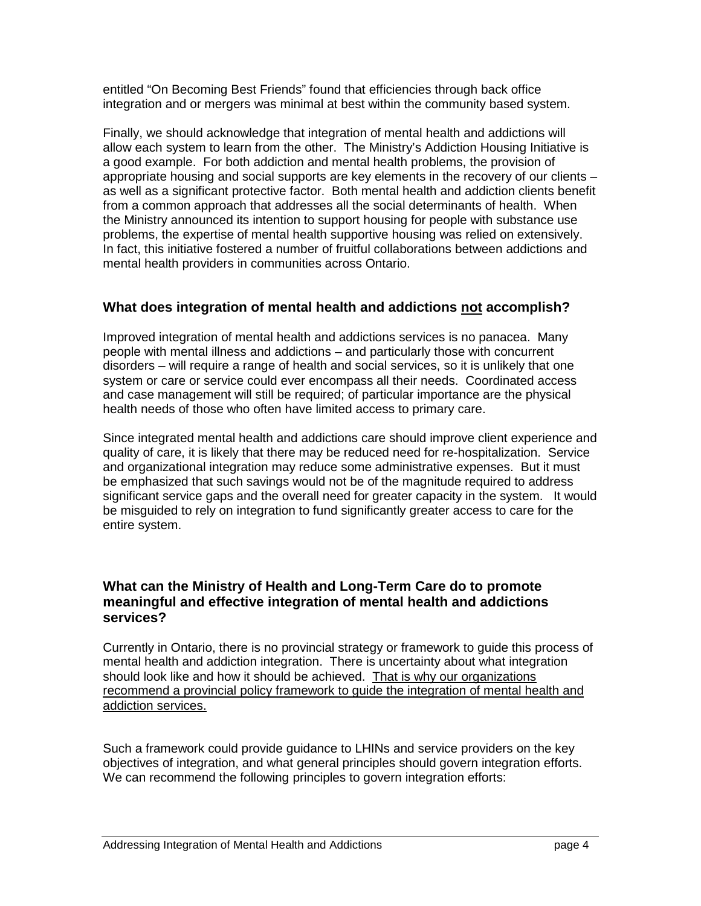entitled "On Becoming Best Friends" found that efficiencies through back office integration and or mergers was minimal at best within the community based system.

Finally, we should acknowledge that integration of mental health and addictions will allow each system to learn from the other. The Ministry's Addiction Housing Initiative is a good example. For both addiction and mental health problems, the provision of appropriate housing and social supports are key elements in the recovery of our clients – as well as a significant protective factor. Both mental health and addiction clients benefit from a common approach that addresses all the social determinants of health. When the Ministry announced its intention to support housing for people with substance use problems, the expertise of mental health supportive housing was relied on extensively. In fact, this initiative fostered a number of fruitful collaborations between addictions and mental health providers in communities across Ontario.

# **What does integration of mental health and addictions not accomplish?**

Improved integration of mental health and addictions services is no panacea. Many people with mental illness and addictions – and particularly those with concurrent disorders – will require a range of health and social services, so it is unlikely that one system or care or service could ever encompass all their needs. Coordinated access and case management will still be required; of particular importance are the physical health needs of those who often have limited access to primary care.

Since integrated mental health and addictions care should improve client experience and quality of care, it is likely that there may be reduced need for re-hospitalization. Service and organizational integration may reduce some administrative expenses. But it must be emphasized that such savings would not be of the magnitude required to address significant service gaps and the overall need for greater capacity in the system. It would be misguided to rely on integration to fund significantly greater access to care for the entire system.

#### **What can the Ministry of Health and Long-Term Care do to promote meaningful and effective integration of mental health and addictions services?**

Currently in Ontario, there is no provincial strategy or framework to guide this process of mental health and addiction integration. There is uncertainty about what integration should look like and how it should be achieved. That is why our organizations recommend a provincial policy framework to guide the integration of mental health and addiction services.

Such a framework could provide guidance to LHINs and service providers on the key objectives of integration, and what general principles should govern integration efforts. We can recommend the following principles to govern integration efforts: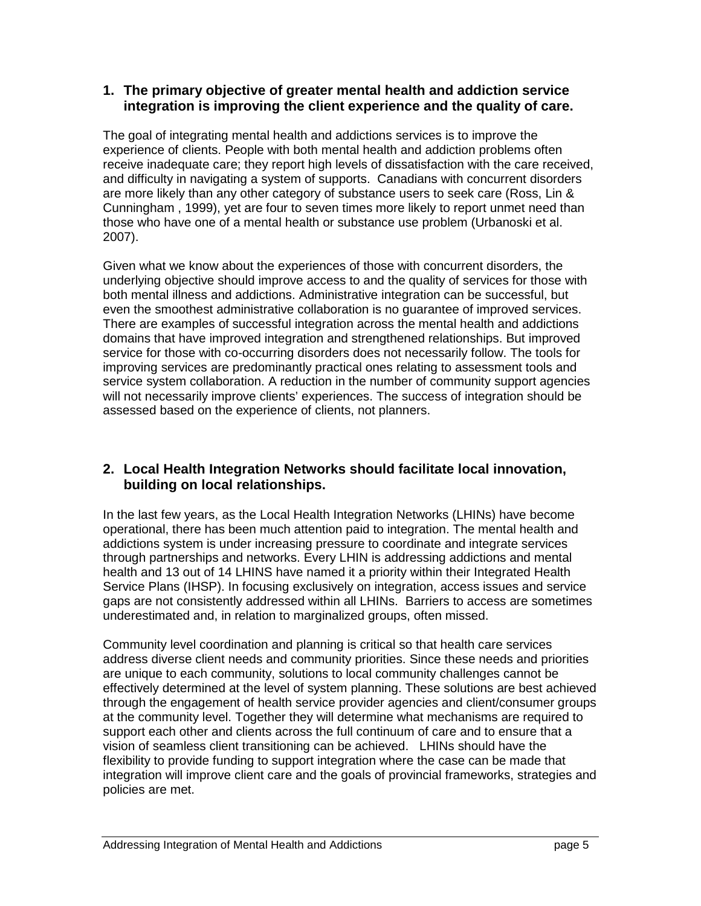#### **1. The primary objective of greater mental health and addiction service integration is improving the client experience and the quality of care.**

The goal of integrating mental health and addictions services is to improve the experience of clients. People with both mental health and addiction problems often receive inadequate care; they report high levels of dissatisfaction with the care received, and difficulty in navigating a system of supports. Canadians with concurrent disorders are more likely than any other category of substance users to seek care (Ross, Lin & Cunningham , 1999), yet are four to seven times more likely to report unmet need than those who have one of a mental health or substance use problem (Urbanoski et al. 2007).

Given what we know about the experiences of those with concurrent disorders, the underlying objective should improve access to and the quality of services for those with both mental illness and addictions. Administrative integration can be successful, but even the smoothest administrative collaboration is no guarantee of improved services. There are examples of successful integration across the mental health and addictions domains that have improved integration and strengthened relationships. But improved service for those with co-occurring disorders does not necessarily follow. The tools for improving services are predominantly practical ones relating to assessment tools and service system collaboration. A reduction in the number of community support agencies will not necessarily improve clients' experiences. The success of integration should be assessed based on the experience of clients, not planners.

# **2. Local Health Integration Networks should facilitate local innovation, building on local relationships.**

In the last few years, as the Local Health Integration Networks (LHINs) have become operational, there has been much attention paid to integration. The mental health and addictions system is under increasing pressure to coordinate and integrate services through partnerships and networks. Every LHIN is addressing addictions and mental health and 13 out of 14 LHINS have named it a priority within their Integrated Health Service Plans (IHSP). In focusing exclusively on integration, access issues and service gaps are not consistently addressed within all LHINs. Barriers to access are sometimes underestimated and, in relation to marginalized groups, often missed.

Community level coordination and planning is critical so that health care services address diverse client needs and community priorities. Since these needs and priorities are unique to each community, solutions to local community challenges cannot be effectively determined at the level of system planning. These solutions are best achieved through the engagement of health service provider agencies and client/consumer groups at the community level. Together they will determine what mechanisms are required to support each other and clients across the full continuum of care and to ensure that a vision of seamless client transitioning can be achieved. LHINs should have the flexibility to provide funding to support integration where the case can be made that integration will improve client care and the goals of provincial frameworks, strategies and policies are met.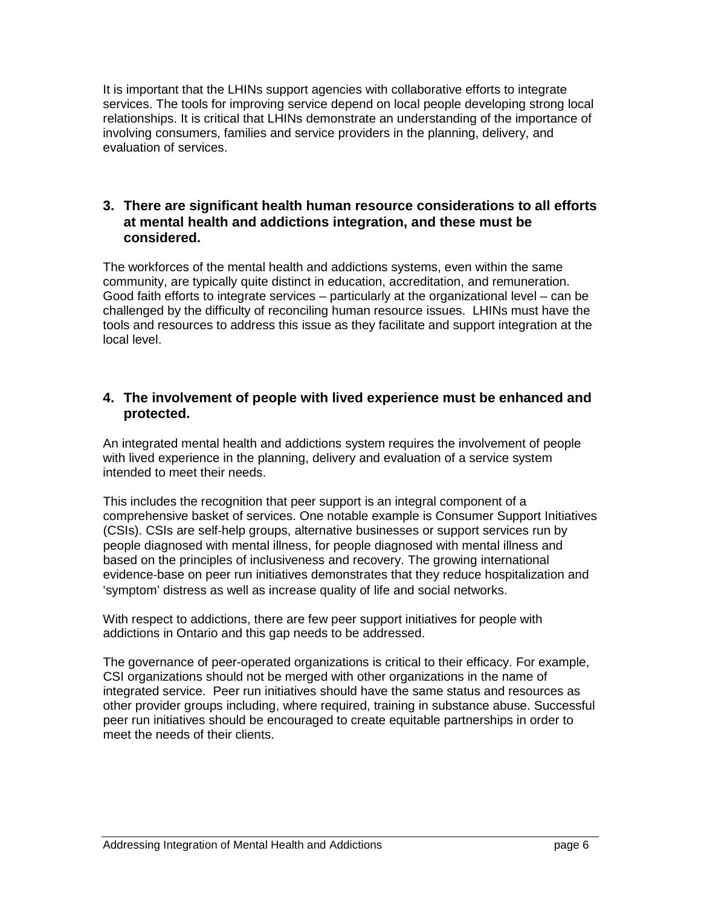It is important that the LHINs support agencies with collaborative efforts to integrate services. The tools for improving service depend on local people developing strong local relationships. It is critical that LHINs demonstrate an understanding of the importance of involving consumers, families and service providers in the planning, delivery, and evaluation of services.

#### **3. There are significant health human resource considerations to all efforts at mental health and addictions integration, and these must be considered.**

The workforces of the mental health and addictions systems, even within the same community, are typically quite distinct in education, accreditation, and remuneration. Good faith efforts to integrate services – particularly at the organizational level – can be challenged by the difficulty of reconciling human resource issues. LHINs must have the tools and resources to address this issue as they facilitate and support integration at the local level.

#### **4. The involvement of people with lived experience must be enhanced and protected.**

An integrated mental health and addictions system requires the involvement of people with lived experience in the planning, delivery and evaluation of a service system intended to meet their needs.

This includes the recognition that peer support is an integral component of a comprehensive basket of services. One notable example is Consumer Support Initiatives (CSIs). CSIs are self‐help groups, alternative businesses or support services run by people diagnosed with mental illness, for people diagnosed with mental illness and based on the principles of inclusiveness and recovery. The growing international evidence‐base on peer run initiatives demonstrates that they reduce hospitalization and 'symptom' distress as well as increase quality of life and social networks.

With respect to addictions, there are few peer support initiatives for people with addictions in Ontario and this gap needs to be addressed.

The governance of peer-operated organizations is critical to their efficacy. For example, CSI organizations should not be merged with other organizations in the name of integrated service. Peer run initiatives should have the same status and resources as other provider groups including, where required, training in substance abuse. Successful peer run initiatives should be encouraged to create equitable partnerships in order to meet the needs of their clients.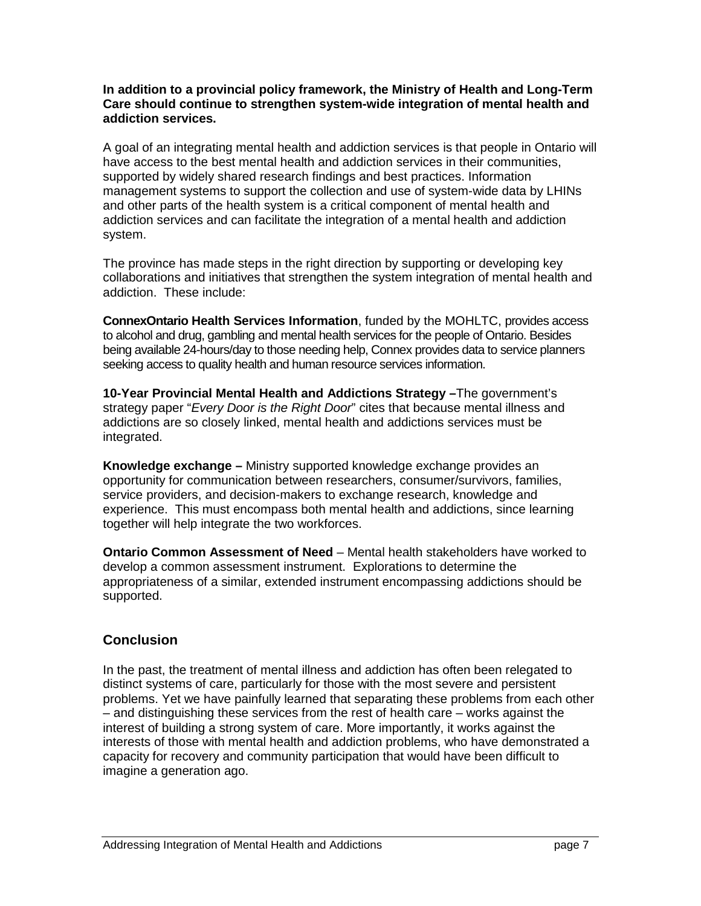#### **In addition to a provincial policy framework, the Ministry of Health and Long-Term Care should continue to strengthen system-wide integration of mental health and addiction services.**

A goal of an integrating mental health and addiction services is that people in Ontario will have access to the best mental health and addiction services in their communities, supported by widely shared research findings and best practices. Information management systems to support the collection and use of system-wide data by LHINs and other parts of the health system is a critical component of mental health and addiction services and can facilitate the integration of a mental health and addiction system.

The province has made steps in the right direction by supporting or developing key collaborations and initiatives that strengthen the system integration of mental health and addiction. These include:

**ConnexOntario Health Services Information**, funded by the MOHLTC, provides access to alcohol and drug, gambling and mental health services for the people of Ontario. Besides being available 24-hours/day to those needing help, Connex provides data to service planners seeking access to quality health and human resource services information.

**10-Year Provincial Mental Health and Addictions Strategy –**The government's strategy paper "*Every Door is the Right Door*" cites that because mental illness and addictions are so closely linked, mental health and addictions services must be integrated.

**Knowledge exchange –** Ministry supported knowledge exchange provides an opportunity for communication between researchers, consumer/survivors, families, service providers, and decision-makers to exchange research, knowledge and experience. This must encompass both mental health and addictions, since learning together will help integrate the two workforces.

**Ontario Common Assessment of Need** – Mental health stakeholders have worked to develop a common assessment instrument. Explorations to determine the appropriateness of a similar, extended instrument encompassing addictions should be supported.

# **Conclusion**

In the past, the treatment of mental illness and addiction has often been relegated to distinct systems of care, particularly for those with the most severe and persistent problems. Yet we have painfully learned that separating these problems from each other – and distinguishing these services from the rest of health care – works against the interest of building a strong system of care. More importantly, it works against the interests of those with mental health and addiction problems, who have demonstrated a capacity for recovery and community participation that would have been difficult to imagine a generation ago.